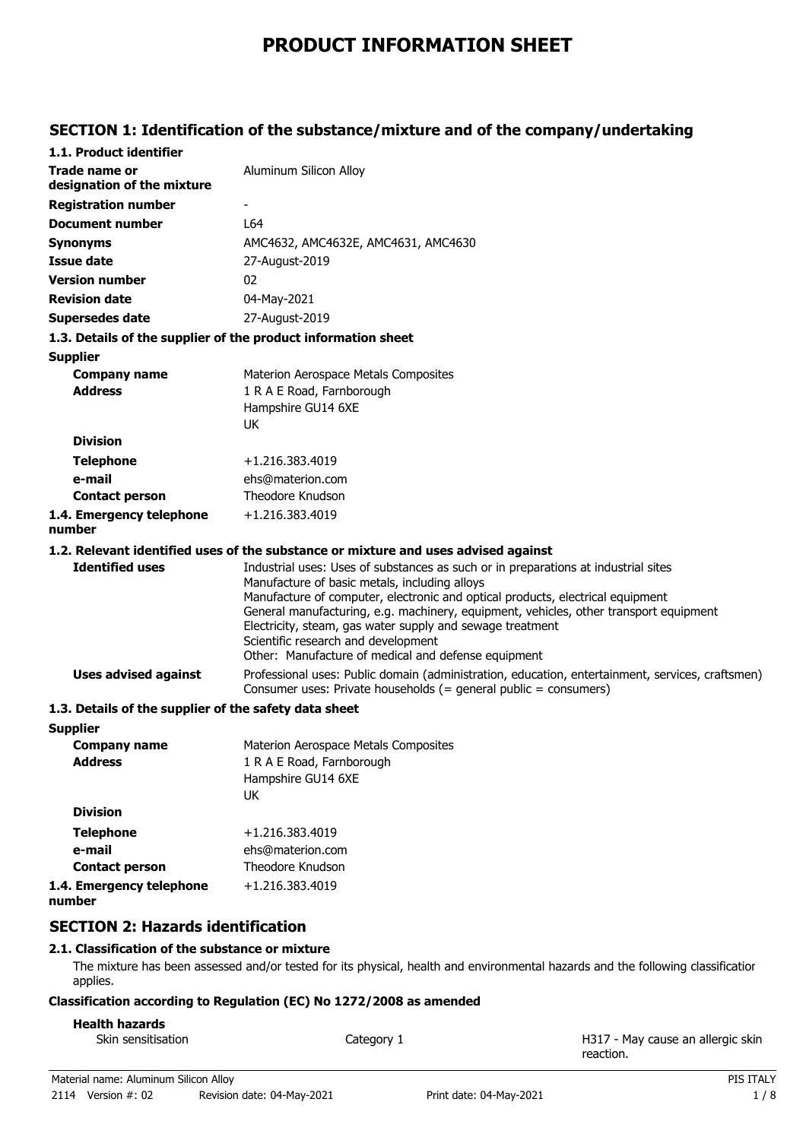# **PRODUCT INFORMATION SHEET**

### **SECTION 1: Identification of the substance/mixture and of the company/undertaking**

| 1.1. Product identifier                                       |                                                                                                                                                                                                                                                                                                                                                                                                                                                                           |
|---------------------------------------------------------------|---------------------------------------------------------------------------------------------------------------------------------------------------------------------------------------------------------------------------------------------------------------------------------------------------------------------------------------------------------------------------------------------------------------------------------------------------------------------------|
| Trade name or<br>designation of the mixture                   | Aluminum Silicon Alloy                                                                                                                                                                                                                                                                                                                                                                                                                                                    |
| <b>Registration number</b>                                    |                                                                                                                                                                                                                                                                                                                                                                                                                                                                           |
| <b>Document number</b>                                        | L64                                                                                                                                                                                                                                                                                                                                                                                                                                                                       |
| <b>Synonyms</b>                                               | AMC4632, AMC4632E, AMC4631, AMC4630                                                                                                                                                                                                                                                                                                                                                                                                                                       |
| <b>Issue date</b>                                             | 27-August-2019                                                                                                                                                                                                                                                                                                                                                                                                                                                            |
| <b>Version number</b>                                         | 02                                                                                                                                                                                                                                                                                                                                                                                                                                                                        |
| <b>Revision date</b>                                          | 04-May-2021                                                                                                                                                                                                                                                                                                                                                                                                                                                               |
| <b>Supersedes date</b>                                        | 27-August-2019                                                                                                                                                                                                                                                                                                                                                                                                                                                            |
| 1.3. Details of the supplier of the product information sheet |                                                                                                                                                                                                                                                                                                                                                                                                                                                                           |
| <b>Supplier</b>                                               |                                                                                                                                                                                                                                                                                                                                                                                                                                                                           |
| <b>Company name</b>                                           | Materion Aerospace Metals Composites                                                                                                                                                                                                                                                                                                                                                                                                                                      |
| <b>Address</b>                                                | 1 R A E Road, Farnborough                                                                                                                                                                                                                                                                                                                                                                                                                                                 |
|                                                               | Hampshire GU14 6XE                                                                                                                                                                                                                                                                                                                                                                                                                                                        |
| <b>Division</b>                                               | <b>UK</b>                                                                                                                                                                                                                                                                                                                                                                                                                                                                 |
|                                                               |                                                                                                                                                                                                                                                                                                                                                                                                                                                                           |
| <b>Telephone</b><br>e-mail                                    | +1.216.383.4019<br>ehs@materion.com                                                                                                                                                                                                                                                                                                                                                                                                                                       |
| <b>Contact person</b>                                         | Theodore Knudson                                                                                                                                                                                                                                                                                                                                                                                                                                                          |
| 1.4. Emergency telephone                                      | +1.216.383.4019                                                                                                                                                                                                                                                                                                                                                                                                                                                           |
| number                                                        |                                                                                                                                                                                                                                                                                                                                                                                                                                                                           |
|                                                               | 1.2. Relevant identified uses of the substance or mixture and uses advised against                                                                                                                                                                                                                                                                                                                                                                                        |
| <b>Identified uses</b>                                        | Industrial uses: Uses of substances as such or in preparations at industrial sites<br>Manufacture of basic metals, including alloys<br>Manufacture of computer, electronic and optical products, electrical equipment<br>General manufacturing, e.g. machinery, equipment, vehicles, other transport equipment<br>Electricity, steam, gas water supply and sewage treatment<br>Scientific research and development<br>Other: Manufacture of medical and defense equipment |
| <b>Uses advised against</b>                                   | Professional uses: Public domain (administration, education, entertainment, services, craftsmen)<br>Consumer uses: Private households $(=$ general public = consumers)                                                                                                                                                                                                                                                                                                    |
| 1.3. Details of the supplier of the safety data sheet         |                                                                                                                                                                                                                                                                                                                                                                                                                                                                           |
| <b>Supplier</b>                                               |                                                                                                                                                                                                                                                                                                                                                                                                                                                                           |
| <b>Company name</b>                                           | Materion Aerospace Metals Composites                                                                                                                                                                                                                                                                                                                                                                                                                                      |
| <b>Address</b>                                                | 1 R A E Road, Farnborough<br>Hampshire GU14 6XE<br>UK                                                                                                                                                                                                                                                                                                                                                                                                                     |
| <b>Division</b>                                               |                                                                                                                                                                                                                                                                                                                                                                                                                                                                           |
| <b>Telephone</b>                                              | +1.216.383.4019                                                                                                                                                                                                                                                                                                                                                                                                                                                           |
| e-mail                                                        | ehs@materion.com                                                                                                                                                                                                                                                                                                                                                                                                                                                          |
| <b>Contact person</b>                                         | Theodore Knudson                                                                                                                                                                                                                                                                                                                                                                                                                                                          |
| 1.4. Emergency telephone<br>number                            | +1.216.383.4019                                                                                                                                                                                                                                                                                                                                                                                                                                                           |

### **SECTION 2: Hazards identification**

### **2.1. Classification of the substance or mixture**

The mixture has been assessed and/or tested for its physical, health and environmental hazards and the following classification applies.

### **Classification according to Regulation (EC) No 1272/2008 as amended**

### **Health hazards**

| Skin sensitisation | Category 1 | H317 - May cause an allergic skin |
|--------------------|------------|-----------------------------------|
|                    |            | reaction.                         |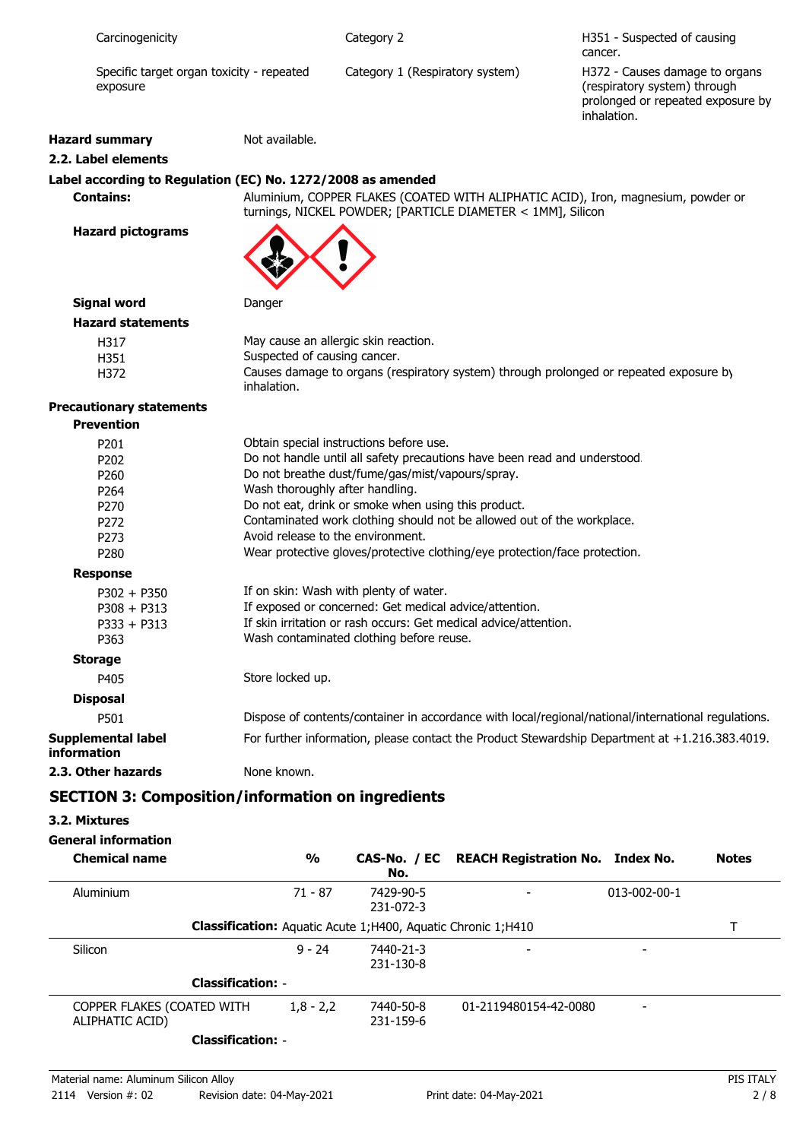| Carcinogenicity       |                                           | Category 2                      | H351 - Suspected of causing<br>cancer.                                                                             |
|-----------------------|-------------------------------------------|---------------------------------|--------------------------------------------------------------------------------------------------------------------|
| exposure              | Specific target organ toxicity - repeated | Category 1 (Respiratory system) | H372 - Causes damage to organs<br>(respiratory system) through<br>prolonged or repeated exposure by<br>inhalation. |
| <b>Hazard summary</b> | Not available.                            |                                 |                                                                                                                    |
| 2.2. Label elements   |                                           |                                 |                                                                                                                    |

### **Label according to Regulation (EC) No. 1272/2008 as amended**

**Contains:** Aluminium, COPPER FLAKES (COATED WITH ALIPHATIC ACID), Iron, magnesium, powder or turnings, NICKEL POWDER; [PARTICLE DIAMETER < 1MM], Silicon

**Hazard pictograms**



### **Signal word** Danger **Hazard statements**

| נמו ט אנמנכוווכוונא |                                                                                        |
|---------------------|----------------------------------------------------------------------------------------|
| H317                | May cause an allergic skin reaction.                                                   |
| H351                | Suspected of causing cancer.                                                           |
| H372                | Causes damage to organs (respiratory system) through prolonged or repeated exposure by |
|                     | inhalation.                                                                            |

### **Precautionary statements**

| <b>Prevention</b>                        |                                                                                                     |
|------------------------------------------|-----------------------------------------------------------------------------------------------------|
| P <sub>201</sub>                         | Obtain special instructions before use.                                                             |
| P <sub>202</sub>                         | Do not handle until all safety precautions have been read and understood.                           |
| P <sub>260</sub>                         | Do not breathe dust/fume/gas/mist/vapours/spray.                                                    |
| P <sub>264</sub>                         | Wash thoroughly after handling.                                                                     |
| P <sub>270</sub>                         | Do not eat, drink or smoke when using this product.                                                 |
| P <sub>272</sub>                         | Contaminated work clothing should not be allowed out of the workplace.                              |
| P <sub>273</sub>                         | Avoid release to the environment.                                                                   |
| P <sub>280</sub>                         | Wear protective gloves/protective clothing/eye protection/face protection.                          |
| <b>Response</b>                          |                                                                                                     |
| $P302 + P350$                            | If on skin: Wash with plenty of water.                                                              |
| $P308 + P313$                            | If exposed or concerned: Get medical advice/attention.                                              |
| $P333 + P313$                            | If skin irritation or rash occurs: Get medical advice/attention.                                    |
| P363                                     | Wash contaminated clothing before reuse.                                                            |
| <b>Storage</b>                           |                                                                                                     |
| P405                                     | Store locked up.                                                                                    |
| <b>Disposal</b>                          |                                                                                                     |
| P501                                     | Dispose of contents/container in accordance with local/regional/national/international regulations. |
| <b>Supplemental label</b><br>information | For further information, please contact the Product Stewardship Department at +1.216.383.4019.      |
| 2.3. Other hazards                       | None known.                                                                                         |

## **SECTION 3: Composition/information on ingredients**

### **3.2. Mixtures**

### **General information**

| <b>Chemical name</b>                          | $\frac{0}{0}$ | No.                                                                 | CAS-No. / EC REACH Registration No. Index No. |                          | <b>Notes</b> |
|-----------------------------------------------|---------------|---------------------------------------------------------------------|-----------------------------------------------|--------------------------|--------------|
| Aluminium                                     | 71 - 87       | 7429-90-5<br>231-072-3                                              |                                               | $013 - 002 - 00 - 1$     |              |
|                                               |               | <b>Classification:</b> Aguatic Acute 1;H400, Aguatic Chronic 1;H410 |                                               |                          |              |
| Silicon                                       | $9 - 24$      | 7440-21-3<br>231-130-8                                              |                                               |                          |              |
| <b>Classification: -</b>                      |               |                                                                     |                                               |                          |              |
| COPPER FLAKES (COATED WITH<br>ALIPHATIC ACID) | $1,8 - 2,2$   | 7440-50-8<br>231-159-6                                              | 01-2119480154-42-0080                         | $\overline{\phantom{0}}$ |              |
| <b>Classification: -</b>                      |               |                                                                     |                                               |                          |              |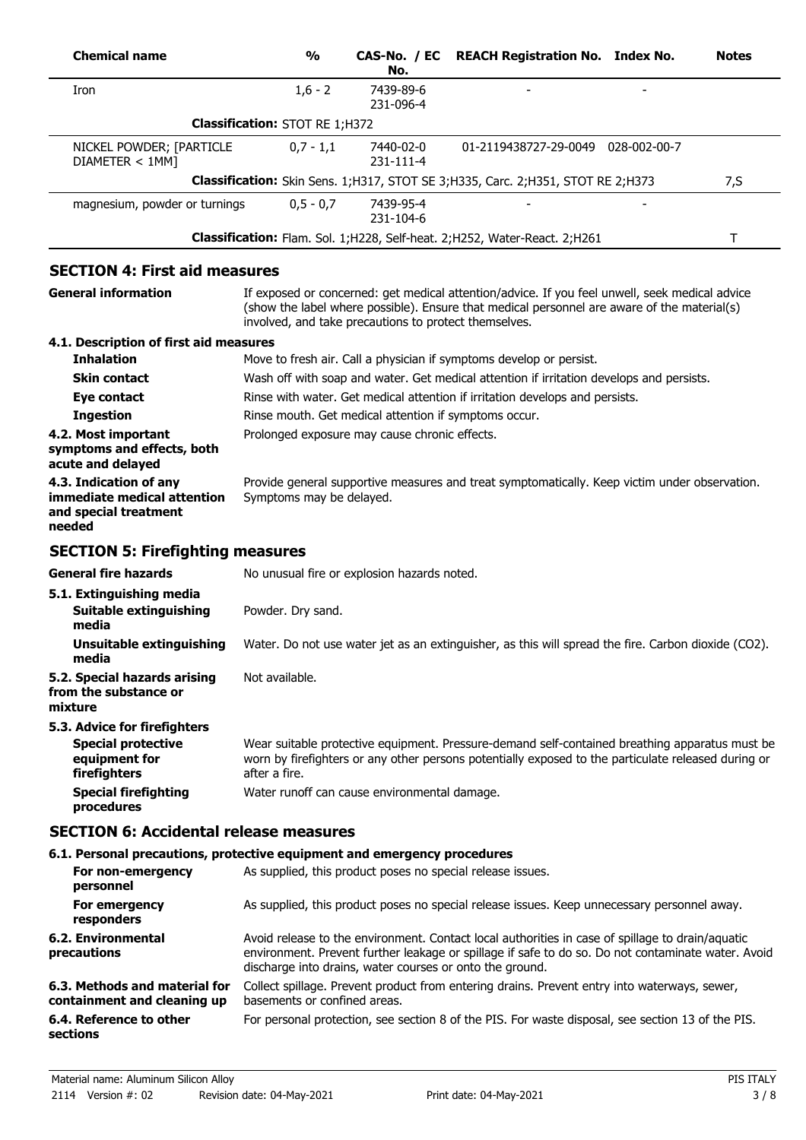| <b>Chemical name</b>                                                                       | $\frac{1}{2}$                                         | CAS-No. / EC<br>No.    | <b>REACH Registration No. Index No.</b>                                                                                                                                                                                                                            | <b>Notes</b> |
|--------------------------------------------------------------------------------------------|-------------------------------------------------------|------------------------|--------------------------------------------------------------------------------------------------------------------------------------------------------------------------------------------------------------------------------------------------------------------|--------------|
| Iron                                                                                       | $1,6 - 2$                                             | 7439-89-6<br>231-096-4 |                                                                                                                                                                                                                                                                    |              |
|                                                                                            | <b>Classification: STOT RE 1;H372</b>                 |                        |                                                                                                                                                                                                                                                                    |              |
| NICKEL POWDER; [PARTICLE<br>DIAMETER < 1MM]                                                | $0,7 - 1,1$                                           | 7440-02-0<br>231-111-4 | 01-2119438727-29-0049 028-002-00-7                                                                                                                                                                                                                                 |              |
|                                                                                            |                                                       |                        | Classification: Skin Sens. 1; H317, STOT SE 3; H335, Carc. 2; H351, STOT RE 2; H373                                                                                                                                                                                | 7, S         |
| magnesium, powder or turnings                                                              | $0,5 - 0,7$                                           | 7439-95-4<br>231-104-6 |                                                                                                                                                                                                                                                                    |              |
|                                                                                            |                                                       |                        | Classification: Flam. Sol. 1; H228, Self-heat. 2; H252, Water-React. 2; H261                                                                                                                                                                                       | T            |
| <b>SECTION 4: First aid measures</b>                                                       |                                                       |                        |                                                                                                                                                                                                                                                                    |              |
| <b>General information</b>                                                                 | involved, and take precautions to protect themselves. |                        | If exposed or concerned: get medical attention/advice. If you feel unwell, seek medical advice<br>(show the label where possible). Ensure that medical personnel are aware of the material(s)                                                                      |              |
| 4.1. Description of first aid measures                                                     |                                                       |                        |                                                                                                                                                                                                                                                                    |              |
| <b>Inhalation</b>                                                                          |                                                       |                        | Move to fresh air. Call a physician if symptoms develop or persist.                                                                                                                                                                                                |              |
| <b>Skin contact</b>                                                                        |                                                       |                        | Wash off with soap and water. Get medical attention if irritation develops and persists.                                                                                                                                                                           |              |
| Eye contact<br><b>Ingestion</b>                                                            | Rinse mouth. Get medical attention if symptoms occur. |                        | Rinse with water. Get medical attention if irritation develops and persists.                                                                                                                                                                                       |              |
| 4.2. Most important<br>symptoms and effects, both<br>acute and delayed                     | Prolonged exposure may cause chronic effects.         |                        |                                                                                                                                                                                                                                                                    |              |
| 4.3. Indication of any<br>immediate medical attention<br>and special treatment<br>needed   | Symptoms may be delayed.                              |                        | Provide general supportive measures and treat symptomatically. Keep victim under observation.                                                                                                                                                                      |              |
| <b>SECTION 5: Firefighting measures</b>                                                    |                                                       |                        |                                                                                                                                                                                                                                                                    |              |
| <b>General fire hazards</b>                                                                | No unusual fire or explosion hazards noted.           |                        |                                                                                                                                                                                                                                                                    |              |
| 5.1. Extinguishing media<br>Suitable extinguishing                                         | Powder. Dry sand.                                     |                        |                                                                                                                                                                                                                                                                    |              |
| media<br><b>Unsuitable extinguishing</b>                                                   |                                                       |                        | Water. Do not use water jet as an extinguisher, as this will spread the fire. Carbon dioxide (CO2).                                                                                                                                                                |              |
| media<br>5.2. Special hazards arising<br>from the substance or<br>mixture                  | Not available.                                        |                        |                                                                                                                                                                                                                                                                    |              |
| 5.3. Advice for firefighters<br><b>Special protective</b><br>equipment for<br>firefighters | after a fire.                                         |                        | Wear suitable protective equipment. Pressure-demand self-contained breathing apparatus must be<br>worn by firefighters or any other persons potentially exposed to the particulate released during or                                                              |              |
| <b>Special firefighting</b><br>procedures                                                  | Water runoff can cause environmental damage.          |                        |                                                                                                                                                                                                                                                                    |              |
| <b>SECTION 6: Accidental release measures</b>                                              |                                                       |                        |                                                                                                                                                                                                                                                                    |              |
| 6.1. Personal precautions, protective equipment and emergency procedures                   |                                                       |                        |                                                                                                                                                                                                                                                                    |              |
| For non-emergency<br>personnel                                                             |                                                       |                        | As supplied, this product poses no special release issues.                                                                                                                                                                                                         |              |
| For emergency<br>responders                                                                |                                                       |                        | As supplied, this product poses no special release issues. Keep unnecessary personnel away.                                                                                                                                                                        |              |
| <b>6.2. Environmental</b><br>precautions                                                   |                                                       |                        | Avoid release to the environment. Contact local authorities in case of spillage to drain/aquatic<br>environment. Prevent further leakage or spillage if safe to do so. Do not contaminate water. Avoid<br>discharge into drains, water courses or onto the ground. |              |
| 6.3. Methods and material for<br>containment and cleaning up                               | basements or confined areas.                          |                        | Collect spillage. Prevent product from entering drains. Prevent entry into waterways, sewer,                                                                                                                                                                       |              |
| 6.4. Reference to other<br>sections                                                        |                                                       |                        | For personal protection, see section 8 of the PIS. For waste disposal, see section 13 of the PIS.                                                                                                                                                                  |              |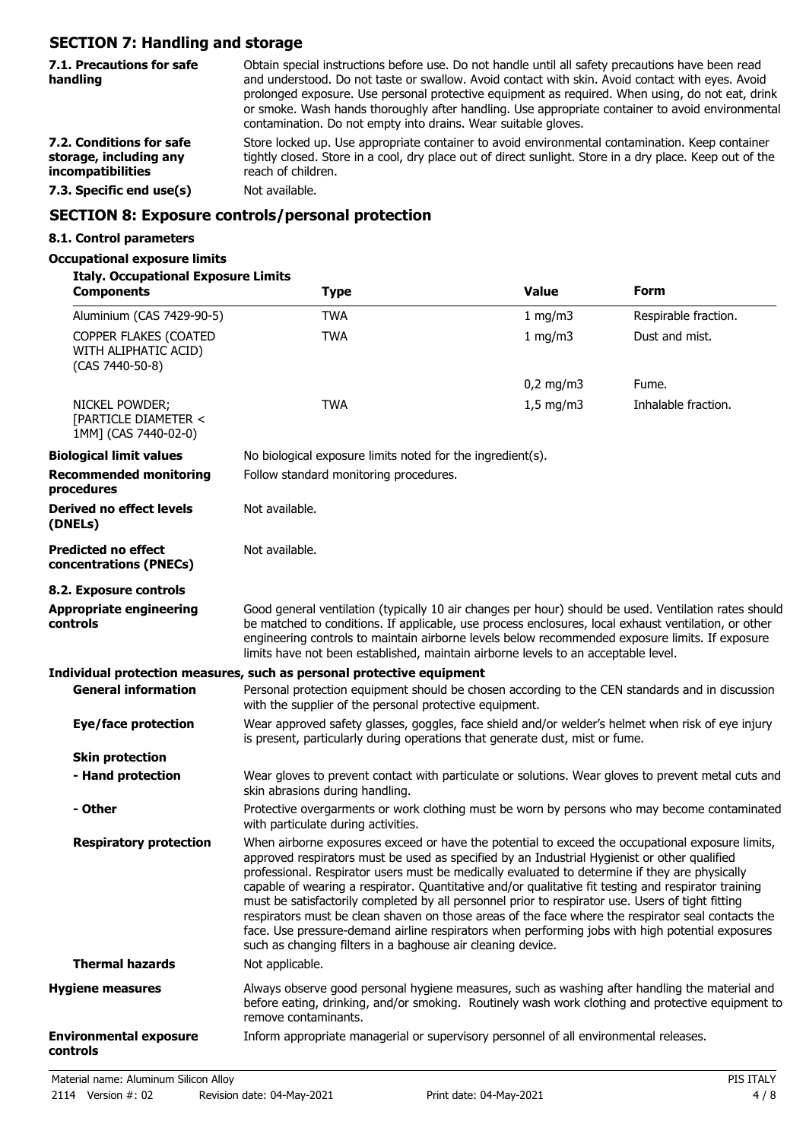# **SECTION 7: Handling and storage**

| 7.1. Precautions for safe<br>handling                                   | Obtain special instructions before use. Do not handle until all safety precautions have been read<br>and understood. Do not taste or swallow. Avoid contact with skin. Avoid contact with eyes. Avoid<br>prolonged exposure. Use personal protective equipment as required. When using, do not eat, drink<br>or smoke. Wash hands thoroughly after handling. Use appropriate container to avoid environmental<br>contamination. Do not empty into drains. Wear suitable gloves. |
|-------------------------------------------------------------------------|---------------------------------------------------------------------------------------------------------------------------------------------------------------------------------------------------------------------------------------------------------------------------------------------------------------------------------------------------------------------------------------------------------------------------------------------------------------------------------|
| 7.2. Conditions for safe<br>storage, including any<br>incompatibilities | Store locked up. Use appropriate container to avoid environmental contamination. Keep container<br>tightly closed. Store in a cool, dry place out of direct sunlight. Store in a dry place. Keep out of the<br>reach of children.                                                                                                                                                                                                                                               |
| 7.3. Specific end use(s)                                                | Not available.                                                                                                                                                                                                                                                                                                                                                                                                                                                                  |
|                                                                         |                                                                                                                                                                                                                                                                                                                                                                                                                                                                                 |

### **SECTION 8: Exposure controls/personal protection**

### **8.1. Control parameters**

#### **Occupational exposure limits**

#### **Italy. Occupational Exposure Limits**

| <b>Components</b>                                                | <b>Type</b>                                                                                                                                                                                                                                                                                                                                                                                                                                                                                                                                                                                                                                                                                                                                                                              | <b>Value</b> | Form                 |
|------------------------------------------------------------------|------------------------------------------------------------------------------------------------------------------------------------------------------------------------------------------------------------------------------------------------------------------------------------------------------------------------------------------------------------------------------------------------------------------------------------------------------------------------------------------------------------------------------------------------------------------------------------------------------------------------------------------------------------------------------------------------------------------------------------------------------------------------------------------|--------------|----------------------|
| Aluminium (CAS 7429-90-5)                                        | <b>TWA</b>                                                                                                                                                                                                                                                                                                                                                                                                                                                                                                                                                                                                                                                                                                                                                                               | 1 mg/m3      | Respirable fraction. |
| COPPER FLAKES (COATED<br>WITH ALIPHATIC ACID)<br>(CAS 7440-50-8) | <b>TWA</b>                                                                                                                                                                                                                                                                                                                                                                                                                                                                                                                                                                                                                                                                                                                                                                               | 1 mg/m3      | Dust and mist.       |
|                                                                  |                                                                                                                                                                                                                                                                                                                                                                                                                                                                                                                                                                                                                                                                                                                                                                                          | $0,2$ mg/m3  | Fume.                |
| NICKEL POWDER;<br>[PARTICLE DIAMETER <<br>1MM] (CAS 7440-02-0)   | <b>TWA</b>                                                                                                                                                                                                                                                                                                                                                                                                                                                                                                                                                                                                                                                                                                                                                                               | $1,5$ mg/m3  | Inhalable fraction.  |
| <b>Biological limit values</b>                                   | No biological exposure limits noted for the ingredient(s).                                                                                                                                                                                                                                                                                                                                                                                                                                                                                                                                                                                                                                                                                                                               |              |                      |
| <b>Recommended monitoring</b><br>procedures                      | Follow standard monitoring procedures.                                                                                                                                                                                                                                                                                                                                                                                                                                                                                                                                                                                                                                                                                                                                                   |              |                      |
| Derived no effect levels<br>(DNELs)                              | Not available.                                                                                                                                                                                                                                                                                                                                                                                                                                                                                                                                                                                                                                                                                                                                                                           |              |                      |
| <b>Predicted no effect</b><br>concentrations (PNECs)             | Not available.                                                                                                                                                                                                                                                                                                                                                                                                                                                                                                                                                                                                                                                                                                                                                                           |              |                      |
| 8.2. Exposure controls                                           |                                                                                                                                                                                                                                                                                                                                                                                                                                                                                                                                                                                                                                                                                                                                                                                          |              |                      |
| <b>Appropriate engineering</b><br>controls                       | Good general ventilation (typically 10 air changes per hour) should be used. Ventilation rates should<br>be matched to conditions. If applicable, use process enclosures, local exhaust ventilation, or other<br>engineering controls to maintain airborne levels below recommended exposure limits. If exposure<br>limits have not been established, maintain airborne levels to an acceptable level.                                                                                                                                                                                                                                                                                                                                                                                   |              |                      |
|                                                                  | Individual protection measures, such as personal protective equipment                                                                                                                                                                                                                                                                                                                                                                                                                                                                                                                                                                                                                                                                                                                    |              |                      |
| <b>General information</b>                                       | Personal protection equipment should be chosen according to the CEN standards and in discussion<br>with the supplier of the personal protective equipment.                                                                                                                                                                                                                                                                                                                                                                                                                                                                                                                                                                                                                               |              |                      |
| <b>Eye/face protection</b>                                       | Wear approved safety glasses, goggles, face shield and/or welder's helmet when risk of eye injury<br>is present, particularly during operations that generate dust, mist or fume.                                                                                                                                                                                                                                                                                                                                                                                                                                                                                                                                                                                                        |              |                      |
| <b>Skin protection</b>                                           |                                                                                                                                                                                                                                                                                                                                                                                                                                                                                                                                                                                                                                                                                                                                                                                          |              |                      |
| - Hand protection                                                | Wear gloves to prevent contact with particulate or solutions. Wear gloves to prevent metal cuts and<br>skin abrasions during handling.                                                                                                                                                                                                                                                                                                                                                                                                                                                                                                                                                                                                                                                   |              |                      |
| - Other                                                          | Protective overgarments or work clothing must be worn by persons who may become contaminated<br>with particulate during activities.                                                                                                                                                                                                                                                                                                                                                                                                                                                                                                                                                                                                                                                      |              |                      |
| <b>Respiratory protection</b>                                    | When airborne exposures exceed or have the potential to exceed the occupational exposure limits,<br>approved respirators must be used as specified by an Industrial Hygienist or other qualified<br>professional. Respirator users must be medically evaluated to determine if they are physically<br>capable of wearing a respirator. Quantitative and/or qualitative fit testing and respirator training<br>must be satisfactorily completed by all personnel prior to respirator use. Users of tight fitting<br>respirators must be clean shaven on those areas of the face where the respirator seal contacts the<br>face. Use pressure-demand airline respirators when performing jobs with high potential exposures<br>such as changing filters in a baghouse air cleaning device. |              |                      |
| <b>Thermal hazards</b>                                           | Not applicable.                                                                                                                                                                                                                                                                                                                                                                                                                                                                                                                                                                                                                                                                                                                                                                          |              |                      |
| <b>Hygiene measures</b>                                          | Always observe good personal hygiene measures, such as washing after handling the material and<br>before eating, drinking, and/or smoking. Routinely wash work clothing and protective equipment to<br>remove contaminants.                                                                                                                                                                                                                                                                                                                                                                                                                                                                                                                                                              |              |                      |
| <b>Environmental exposure</b><br>controls                        | Inform appropriate managerial or supervisory personnel of all environmental releases.                                                                                                                                                                                                                                                                                                                                                                                                                                                                                                                                                                                                                                                                                                    |              |                      |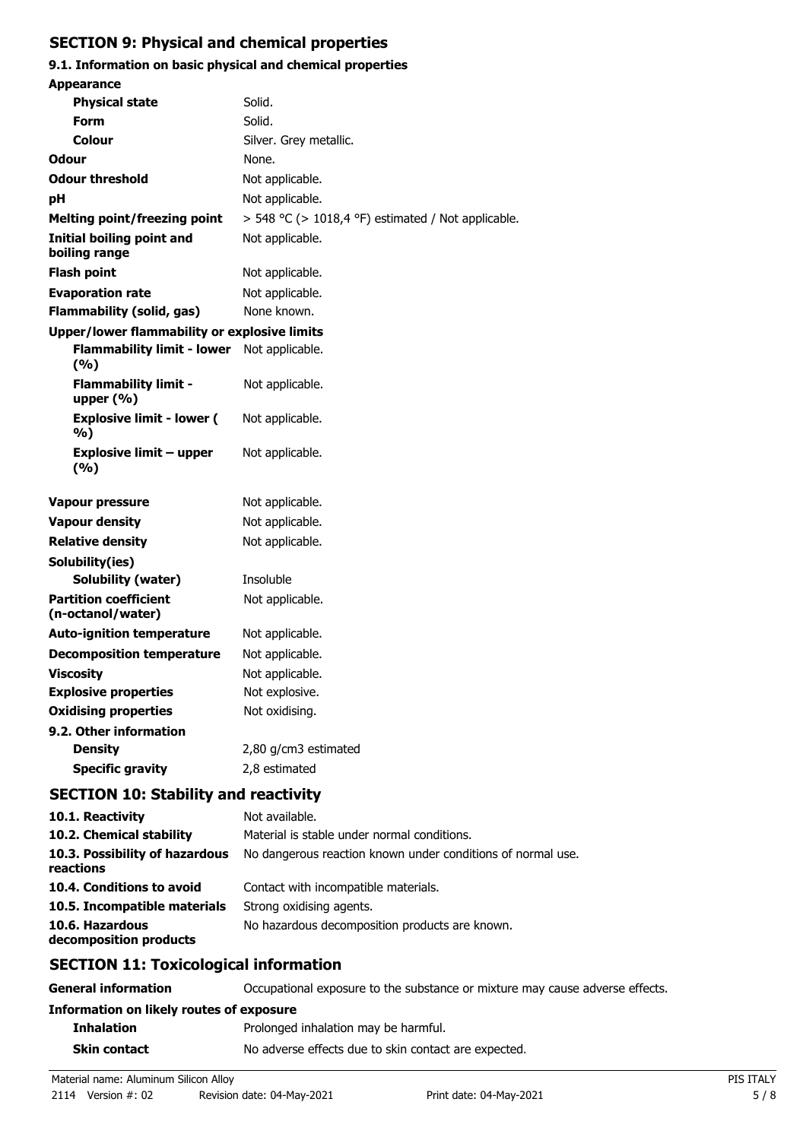## **SECTION 9: Physical and chemical properties**

# **9.1. Information on basic physical and chemical properties**

| <b>Appearance</b>                                     |                                                             |
|-------------------------------------------------------|-------------------------------------------------------------|
| <b>Physical state</b>                                 | Solid.                                                      |
| Form                                                  | Solid.                                                      |
| Colour                                                | Silver. Grey metallic.                                      |
| <b>Odour</b>                                          | None.                                                       |
| Odour threshold                                       | Not applicable.                                             |
| рH                                                    | Not applicable.                                             |
| <b>Melting point/freezing point</b>                   | $>$ 548 °C ( $>$ 1018,4 °F) estimated / Not applicable.     |
| <b>Initial boiling point and</b><br>boiling range     | Not applicable.                                             |
| <b>Flash point</b>                                    | Not applicable.                                             |
| <b>Evaporation rate</b>                               | Not applicable.                                             |
| <b>Flammability (solid, gas)</b>                      | None known.                                                 |
| Upper/lower flammability or explosive limits          |                                                             |
| <b>Flammability limit - lower</b><br>(%)              | Not applicable.                                             |
| <b>Flammability limit -</b><br>upper $(\% )$          | Not applicable.                                             |
| <b>Explosive limit - lower (</b><br>%)                | Not applicable.                                             |
| <b>Explosive limit - upper</b><br>(%)                 | Not applicable.                                             |
| <b>Vapour pressure</b>                                | Not applicable.                                             |
| <b>Vapour density</b>                                 | Not applicable.                                             |
| <b>Relative density</b>                               | Not applicable.                                             |
| Solubility(ies)                                       |                                                             |
| Solubility (water)                                    | Insoluble                                                   |
| <b>Partition coefficient</b><br>(n-octanol/water)     | Not applicable.                                             |
| <b>Auto-ignition temperature</b>                      | Not applicable.                                             |
| <b>Decomposition temperature</b>                      | Not applicable.                                             |
| <b>Viscosity</b>                                      | Not applicable.                                             |
| <b>Explosive properties</b>                           | Not explosive.                                              |
| <b>Oxidising properties</b>                           | Not oxidising.                                              |
| 9.2. Other information                                |                                                             |
| <b>Density</b>                                        | 2,80 g/cm3 estimated                                        |
| <b>Specific gravity</b>                               | 2,8 estimated                                               |
| <b>SECTION 10: Stability and reactivity</b>           |                                                             |
| 10.1. Reactivity                                      | Not available.                                              |
| 10.2. Chemical stability                              | Material is stable under normal conditions.                 |
| 10.3. Possibility of hazardous<br>reactions           | No dangerous reaction known under conditions of normal use. |
| 10.4. Conditions to avoid                             | Contact with incompatible materials.                        |
| 10.5. Incompatible materials                          | Strong oxidising agents.                                    |
| 10.6. Hazardous<br>decomposition products             | No hazardous decomposition products are known.              |
| $C$ E $C$ TI $\Omega$ NI 44. Territorianized informac |                                                             |

# **SECTION 11: Toxicological information**

| <b>General information</b>               | Occupational exposure to the substance or mixture may cause adverse effects. |
|------------------------------------------|------------------------------------------------------------------------------|
| Information on likely routes of exposure |                                                                              |
| <b>Inhalation</b>                        | Prolonged inhalation may be harmful.                                         |
| Skin contact                             | No adverse effects due to skin contact are expected.                         |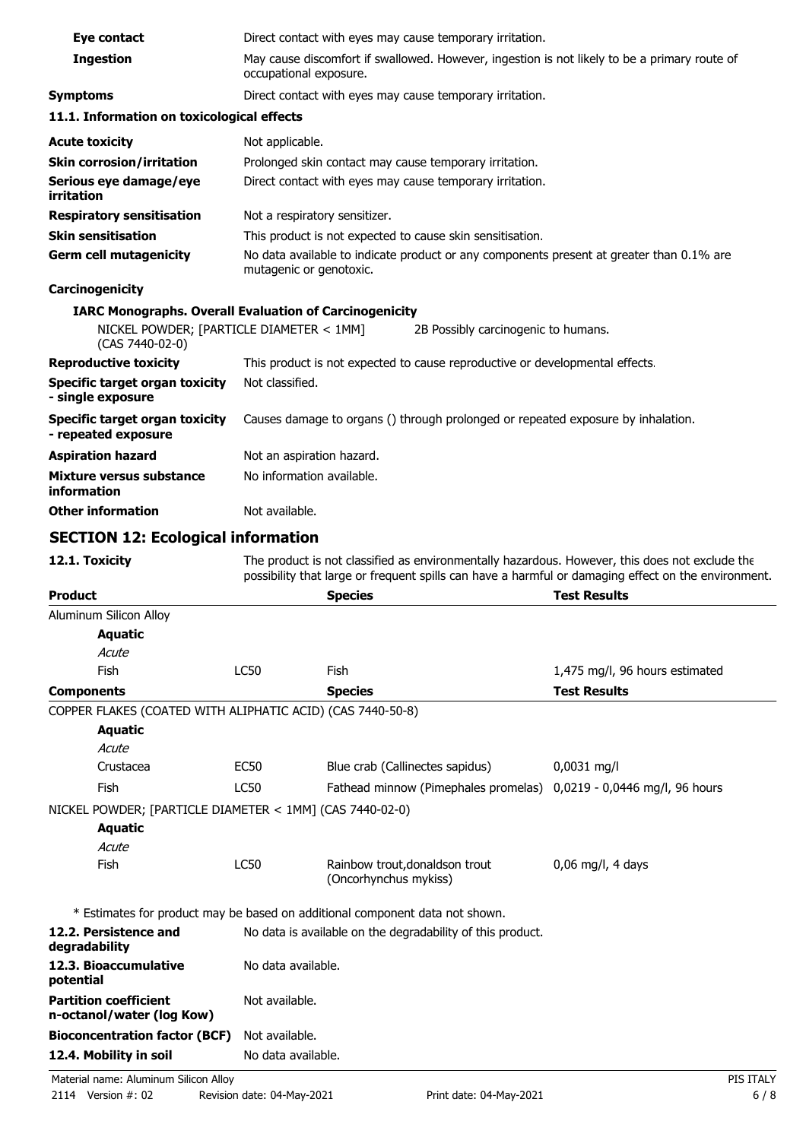| Eye contact                                                                                                                  |                               | Direct contact with eyes may cause temporary irritation.                                                                                                                                              |                                |
|------------------------------------------------------------------------------------------------------------------------------|-------------------------------|-------------------------------------------------------------------------------------------------------------------------------------------------------------------------------------------------------|--------------------------------|
| <b>Ingestion</b>                                                                                                             | occupational exposure.        | May cause discomfort if swallowed. However, ingestion is not likely to be a primary route of                                                                                                          |                                |
| <b>Symptoms</b>                                                                                                              |                               | Direct contact with eyes may cause temporary irritation.                                                                                                                                              |                                |
| 11.1. Information on toxicological effects                                                                                   |                               |                                                                                                                                                                                                       |                                |
| <b>Acute toxicity</b>                                                                                                        | Not applicable.               |                                                                                                                                                                                                       |                                |
| <b>Skin corrosion/irritation</b>                                                                                             |                               | Prolonged skin contact may cause temporary irritation.                                                                                                                                                |                                |
| Serious eye damage/eye<br>irritation                                                                                         |                               | Direct contact with eyes may cause temporary irritation.                                                                                                                                              |                                |
| <b>Respiratory sensitisation</b>                                                                                             | Not a respiratory sensitizer. |                                                                                                                                                                                                       |                                |
| <b>Skin sensitisation</b>                                                                                                    |                               | This product is not expected to cause skin sensitisation.                                                                                                                                             |                                |
| <b>Germ cell mutagenicity</b>                                                                                                | mutagenic or genotoxic.       | No data available to indicate product or any components present at greater than 0.1% are                                                                                                              |                                |
| Carcinogenicity                                                                                                              |                               |                                                                                                                                                                                                       |                                |
| <b>IARC Monographs. Overall Evaluation of Carcinogenicity</b><br>NICKEL POWDER; [PARTICLE DIAMETER < 1MM]<br>(CAS 7440-02-0) |                               | 2B Possibly carcinogenic to humans.                                                                                                                                                                   |                                |
| <b>Reproductive toxicity</b>                                                                                                 |                               | This product is not expected to cause reproductive or developmental effects.                                                                                                                          |                                |
| <b>Specific target organ toxicity</b><br>- single exposure                                                                   | Not classified.               |                                                                                                                                                                                                       |                                |
| <b>Specific target organ toxicity</b><br>- repeated exposure                                                                 |                               | Causes damage to organs () through prolonged or repeated exposure by inhalation.                                                                                                                      |                                |
| <b>Aspiration hazard</b>                                                                                                     | Not an aspiration hazard.     |                                                                                                                                                                                                       |                                |
| <b>Mixture versus substance</b><br>information                                                                               | No information available.     |                                                                                                                                                                                                       |                                |
| <b>Other information</b>                                                                                                     | Not available.                |                                                                                                                                                                                                       |                                |
| <b>SECTION 12: Ecological information</b>                                                                                    |                               |                                                                                                                                                                                                       |                                |
|                                                                                                                              |                               |                                                                                                                                                                                                       |                                |
| 12.1. Toxicity                                                                                                               |                               | The product is not classified as environmentally hazardous. However, this does not exclude the<br>possibility that large or frequent spills can have a harmful or damaging effect on the environment. |                                |
| <b>Product</b>                                                                                                               |                               | <b>Species</b>                                                                                                                                                                                        | <b>Test Results</b>            |
| <b>Aluminum Silicon Alloy</b>                                                                                                |                               |                                                                                                                                                                                                       |                                |
| <b>Aquatic</b>                                                                                                               |                               |                                                                                                                                                                                                       |                                |
| Acute                                                                                                                        |                               |                                                                                                                                                                                                       |                                |
| Fish                                                                                                                         | LC50                          | <b>Fish</b>                                                                                                                                                                                           | 1,475 mg/l, 96 hours estimated |
| <b>Components</b>                                                                                                            |                               | <b>Species</b>                                                                                                                                                                                        | <b>Test Results</b>            |
| COPPER FLAKES (COATED WITH ALIPHATIC ACID) (CAS 7440-50-8)                                                                   |                               |                                                                                                                                                                                                       |                                |
| <b>Aquatic</b><br>Acute                                                                                                      |                               |                                                                                                                                                                                                       |                                |
| Crustacea                                                                                                                    | <b>EC50</b>                   | Blue crab (Callinectes sapidus)                                                                                                                                                                       | 0,0031 mg/l                    |
| Fish                                                                                                                         | <b>LC50</b>                   | Fathead minnow (Pimephales promelas)                                                                                                                                                                  | 0,0219 - 0,0446 mg/l, 96 hours |
|                                                                                                                              |                               |                                                                                                                                                                                                       |                                |
| NICKEL POWDER; [PARTICLE DIAMETER < 1MM] (CAS 7440-02-0)<br><b>Aquatic</b>                                                   |                               |                                                                                                                                                                                                       |                                |
| Acute                                                                                                                        |                               |                                                                                                                                                                                                       |                                |
| Fish                                                                                                                         | LC50                          | Rainbow trout, donaldson trout<br>(Oncorhynchus mykiss)                                                                                                                                               | $0,06$ mg/l, 4 days            |
|                                                                                                                              |                               |                                                                                                                                                                                                       |                                |
| 12.2. Persistence and<br>degradability                                                                                       |                               | * Estimates for product may be based on additional component data not shown.<br>No data is available on the degradability of this product.                                                            |                                |
| 12.3. Bioaccumulative<br>potential                                                                                           | No data available.            |                                                                                                                                                                                                       |                                |
| <b>Partition coefficient</b><br>n-octanol/water (log Kow)                                                                    | Not available.                |                                                                                                                                                                                                       |                                |
| <b>Bioconcentration factor (BCF)</b>                                                                                         | Not available.                |                                                                                                                                                                                                       |                                |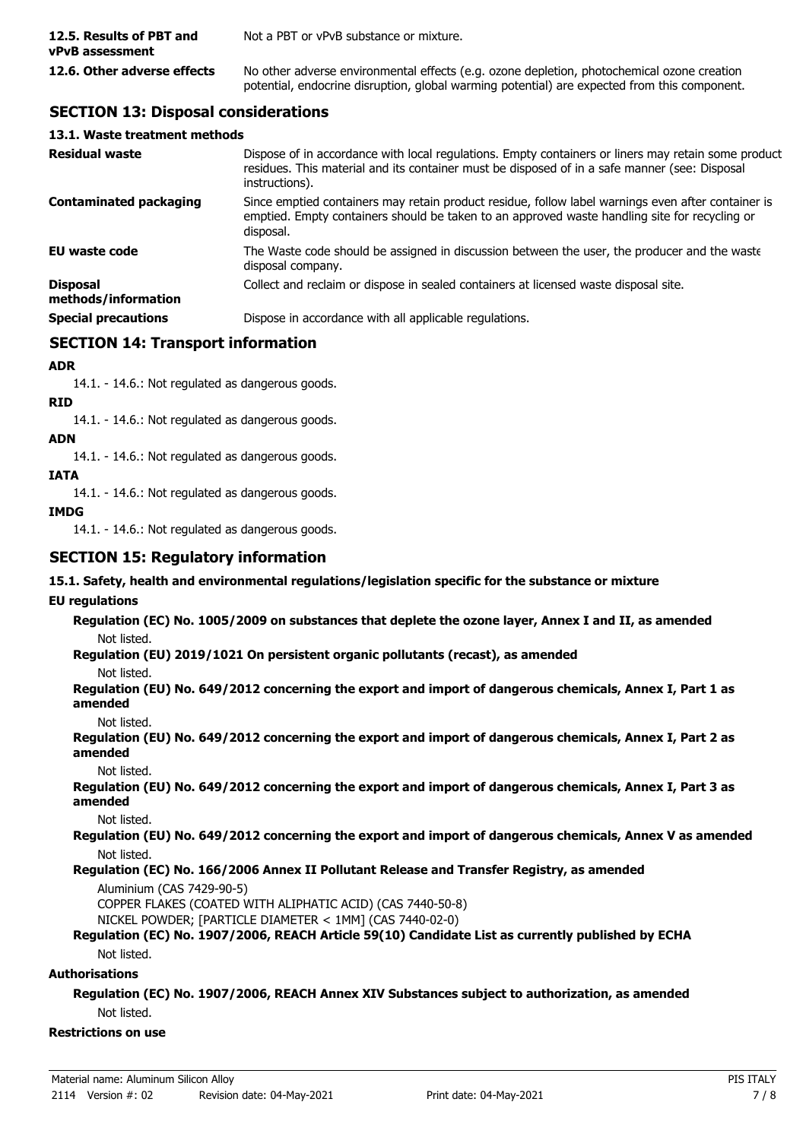| 12.5. Results of PBT and<br>vPvB assessment | Not a PBT or vPvB substance or mixture.                                                                                                                                                    |
|---------------------------------------------|--------------------------------------------------------------------------------------------------------------------------------------------------------------------------------------------|
| 12.6. Other adverse effects                 | No other adverse environmental effects (e.g. ozone depletion, photochemical ozone creation<br>potential, endocrine disruption, global warming potential) are expected from this component. |

### **SECTION 13: Disposal considerations**

#### **13.1. Waste treatment methods**

| <b>Residual waste</b>                  | Dispose of in accordance with local regulations. Empty containers or liners may retain some product<br>residues. This material and its container must be disposed of in a safe manner (see: Disposal<br>instructions). |
|----------------------------------------|------------------------------------------------------------------------------------------------------------------------------------------------------------------------------------------------------------------------|
| <b>Contaminated packaging</b>          | Since emptied containers may retain product residue, follow label warnings even after container is<br>emptied. Empty containers should be taken to an approved waste handling site for recycling or<br>disposal.       |
| EU waste code                          | The Waste code should be assigned in discussion between the user, the producer and the waste<br>disposal company.                                                                                                      |
| <b>Disposal</b><br>methods/information | Collect and reclaim or dispose in sealed containers at licensed waste disposal site.                                                                                                                                   |
| <b>Special precautions</b>             | Dispose in accordance with all applicable regulations.                                                                                                                                                                 |

### **SECTION 14: Transport information**

#### **ADR**

14.1. - 14.6.: Not regulated as dangerous goods.

#### **RID**

14.1. - 14.6.: Not regulated as dangerous goods.

#### **ADN**

14.1. - 14.6.: Not regulated as dangerous goods.

#### **IATA**

14.1. - 14.6.: Not regulated as dangerous goods.

### **IMDG**

14.1. - 14.6.: Not regulated as dangerous goods.

### **SECTION 15: Regulatory information**

### **15.1. Safety, health and environmental regulations/legislation specific for the substance or mixture**

### **EU regulations**

**Regulation (EC) No. 1005/2009 on substances that deplete the ozone layer, Annex I and II, as amended** Not listed.

**Regulation (EU) 2019/1021 On persistent organic pollutants (recast), as amended**

Not listed.

**Regulation (EU) No. 649/2012 concerning the export and import of dangerous chemicals, Annex I, Part 1 as amended**

Not listed.

**Regulation (EU) No. 649/2012 concerning the export and import of dangerous chemicals, Annex I, Part 2 as amended**

Not listed.

**Regulation (EU) No. 649/2012 concerning the export and import of dangerous chemicals, Annex I, Part 3 as amended**

Not listed.

**Regulation (EU) No. 649/2012 concerning the export and import of dangerous chemicals, Annex V as amended** Not listed.

### **Regulation (EC) No. 166/2006 Annex II Pollutant Release and Transfer Registry, as amended**

Aluminium (CAS 7429-90-5)

COPPER FLAKES (COATED WITH ALIPHATIC ACID) (CAS 7440-50-8)

NICKEL POWDER; [PARTICLE DIAMETER < 1MM] (CAS 7440-02-0)

#### **Regulation (EC) No. 1907/2006, REACH Article 59(10) Candidate List as currently published by ECHA** Not listed.

### **Authorisations**

#### **Regulation (EC) No. 1907/2006, REACH Annex XIV Substances subject to authorization, as amended** Not listed.